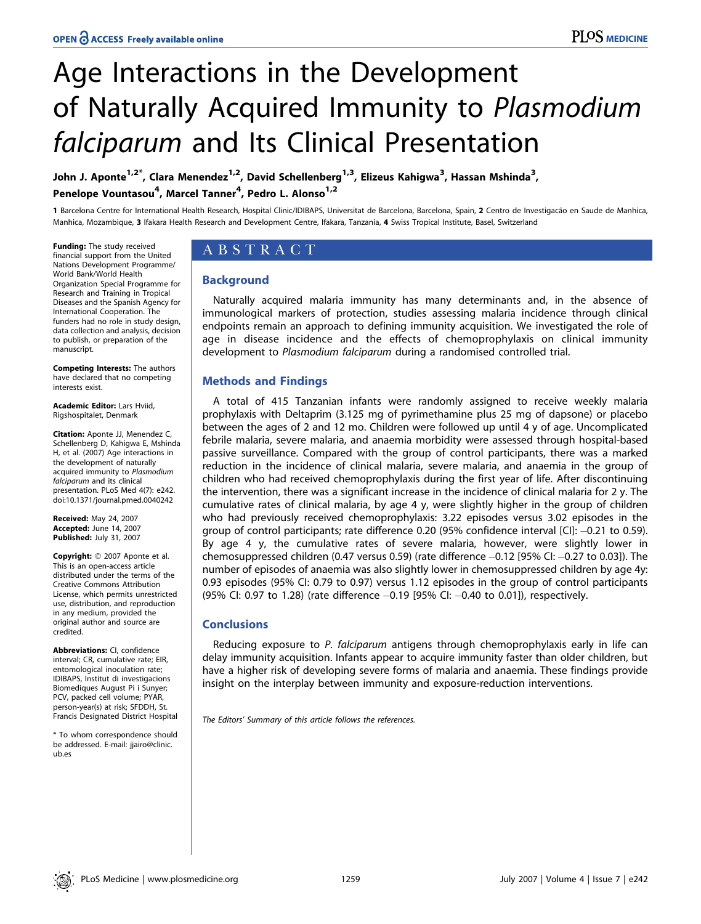# Age Interactions in the Development of Naturally Acquired Immunity to Plasmodium falciparum and Its Clinical Presentation

John J. Aponte<sup>1,2\*</sup>, Clara Menendez<sup>1,2</sup>, David Schellenberg<sup>1,3</sup>, Elizeus Kahigwa<sup>3</sup>, Hassan Mshinda<sup>3</sup>, Penelope Vountasou<sup>4</sup>, Marcel Tanner<sup>4</sup>, Pedro L. Alonso<sup>1,2</sup>

1 Barcelona Centre for International Health Research, Hospital Clinic/IDIBAPS, Universitat de Barcelona, Barcelona, Spain, 2 Centro de Investigacão en Saude de Manhica, Manhica, Mozambique, 3 Ifakara Health Research and Development Centre, Ifakara, Tanzania, 4 Swiss Tropical Institute, Basel, Switzerland

**Funding:** The study received financial support from the United Nations Development Programme/ World Bank/World Health Organization Special Programme for Research and Training in Tropical Diseases and the Spanish Agency for International Cooperation. The funders had no role in study design, data collection and analysis, decision to publish, or preparation of the manuscript.

Competing Interests: The authors have declared that no competing interests exist.

Academic Editor: Lars Hviid, Rigshospitalet, Denmark

Citation: Aponte JJ, Menendez C, Schellenberg D, Kahigwa E, Mshinda H, et al. (2007) Age interactions in the development of naturally acquired immunity to Plasmodium falciparum and its clinical presentation. PLoS Med 4(7): e242. doi:10.1371/journal.pmed.0040242

Received: May 24, 2007 Accepted: June 14, 2007 Published: July 31, 2007

Copyright: © 2007 Aponte et al. This is an open-access article distributed under the terms of the Creative Commons Attribution License, which permits unrestricted use, distribution, and reproduction in any medium, provided the original author and source are credited.

Abbreviations: CI, confidence interval; CR, cumulative rate; EIR, entomological inoculation rate; IDIBAPS, Institut di investigacions Biomediques August Pi i Sunyer; PCV, packed cell volume; PYAR, person-year(s) at risk; SFDDH, St. Francis Designated District Hospital

\* To whom correspondence should be addressed. E-mail: jjairo@clinic. ub.es

# ABSTRACT

# **Background**

Naturally acquired malaria immunity has many determinants and, in the absence of immunological markers of protection, studies assessing malaria incidence through clinical endpoints remain an approach to defining immunity acquisition. We investigated the role of age in disease incidence and the effects of chemoprophylaxis on clinical immunity development to Plasmodium falciparum during a randomised controlled trial.

# Methods and Findings

A total of 415 Tanzanian infants were randomly assigned to receive weekly malaria prophylaxis with Deltaprim (3.125 mg of pyrimethamine plus 25 mg of dapsone) or placebo between the ages of 2 and 12 mo. Children were followed up until 4 y of age. Uncomplicated febrile malaria, severe malaria, and anaemia morbidity were assessed through hospital-based passive surveillance. Compared with the group of control participants, there was a marked reduction in the incidence of clinical malaria, severe malaria, and anaemia in the group of children who had received chemoprophylaxis during the first year of life. After discontinuing the intervention, there was a significant increase in the incidence of clinical malaria for 2 y. The cumulative rates of clinical malaria, by age 4 y, were slightly higher in the group of children who had previously received chemoprophylaxis: 3.22 episodes versus 3.02 episodes in the group of control participants; rate difference 0.20 (95% confidence interval [CI]: --0.21 to 0.59). By age 4 y, the cumulative rates of severe malaria, however, were slightly lower in chemosuppressed children (0.47 versus 0.59) (rate difference  $-0.12$  [95% CI:  $-0.27$  to 0.03]). The number of episodes of anaemia was also slightly lower in chemosuppressed children by age 4y: 0.93 episodes (95% CI: 0.79 to 0.97) versus 1.12 episodes in the group of control participants (95% CI: 0.97 to 1.28) (rate difference –0.19 [95% CI: –0.40 to 0.01]), respectively.

# **Conclusions**

Reducing exposure to P. falciparum antigens through chemoprophylaxis early in life can delay immunity acquisition. Infants appear to acquire immunity faster than older children, but have a higher risk of developing severe forms of malaria and anaemia. These findings provide insight on the interplay between immunity and exposure-reduction interventions.

The Editors' Summary of this article follows the references.

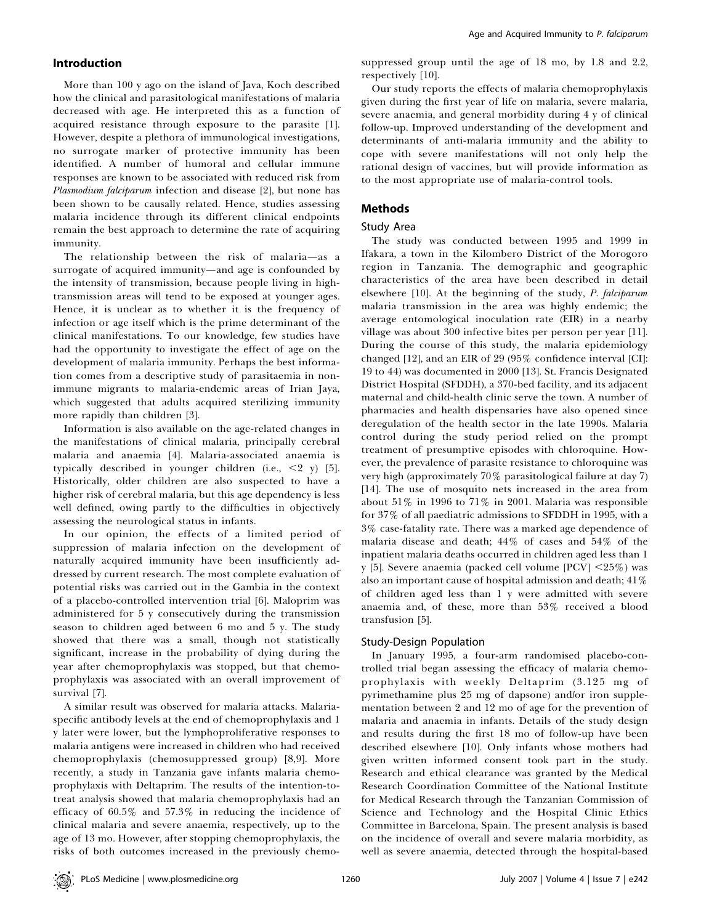# Introduction

More than 100 y ago on the island of Java, Koch described how the clinical and parasitological manifestations of malaria decreased with age. He interpreted this as a function of acquired resistance through exposure to the parasite [1]. However, despite a plethora of immunological investigations, no surrogate marker of protective immunity has been identified. A number of humoral and cellular immune responses are known to be associated with reduced risk from Plasmodium falciparum infection and disease [2], but none has been shown to be causally related. Hence, studies assessing malaria incidence through its different clinical endpoints remain the best approach to determine the rate of acquiring immunity.

The relationship between the risk of malaria—as a surrogate of acquired immunity—and age is confounded by the intensity of transmission, because people living in hightransmission areas will tend to be exposed at younger ages. Hence, it is unclear as to whether it is the frequency of infection or age itself which is the prime determinant of the clinical manifestations. To our knowledge, few studies have had the opportunity to investigate the effect of age on the development of malaria immunity. Perhaps the best information comes from a descriptive study of parasitaemia in nonimmune migrants to malaria-endemic areas of Irian Jaya, which suggested that adults acquired sterilizing immunity more rapidly than children [3].

Information is also available on the age-related changes in the manifestations of clinical malaria, principally cerebral malaria and anaemia [4]. Malaria-associated anaemia is typically described in younger children (i.e.,  $\leq 2$  y) [5]. Historically, older children are also suspected to have a higher risk of cerebral malaria, but this age dependency is less well defined, owing partly to the difficulties in objectively assessing the neurological status in infants.

In our opinion, the effects of a limited period of suppression of malaria infection on the development of naturally acquired immunity have been insufficiently addressed by current research. The most complete evaluation of potential risks was carried out in the Gambia in the context of a placebo-controlled intervention trial [6]. Maloprim was administered for 5 y consecutively during the transmission season to children aged between 6 mo and 5 y. The study showed that there was a small, though not statistically significant, increase in the probability of dying during the year after chemoprophylaxis was stopped, but that chemoprophylaxis was associated with an overall improvement of survival [7].

A similar result was observed for malaria attacks. Malariaspecific antibody levels at the end of chemoprophylaxis and 1 y later were lower, but the lymphoproliferative responses to malaria antigens were increased in children who had received chemoprophylaxis (chemosuppressed group) [8,9]. More recently, a study in Tanzania gave infants malaria chemoprophylaxis with Deltaprim. The results of the intention-totreat analysis showed that malaria chemoprophylaxis had an efficacy of 60.5% and 57.3% in reducing the incidence of clinical malaria and severe anaemia, respectively, up to the age of 13 mo. However, after stopping chemoprophylaxis, the risks of both outcomes increased in the previously chemosuppressed group until the age of 18 mo, by 1.8 and 2.2, respectively [10].

Our study reports the effects of malaria chemoprophylaxis given during the first year of life on malaria, severe malaria, severe anaemia, and general morbidity during 4 y of clinical follow-up. Improved understanding of the development and determinants of anti-malaria immunity and the ability to cope with severe manifestations will not only help the rational design of vaccines, but will provide information as to the most appropriate use of malaria-control tools.

# Methods

## Study Area

The study was conducted between 1995 and 1999 in Ifakara, a town in the Kilombero District of the Morogoro region in Tanzania. The demographic and geographic characteristics of the area have been described in detail elsewhere [10]. At the beginning of the study, P. falciparum malaria transmission in the area was highly endemic; the average entomological inoculation rate (EIR) in a nearby village was about 300 infective bites per person per year [11]. During the course of this study, the malaria epidemiology changed [12], and an EIR of 29 (95% confidence interval [CI]: 19 to 44) was documented in 2000 [13]. St. Francis Designated District Hospital (SFDDH), a 370-bed facility, and its adjacent maternal and child-health clinic serve the town. A number of pharmacies and health dispensaries have also opened since deregulation of the health sector in the late 1990s. Malaria control during the study period relied on the prompt treatment of presumptive episodes with chloroquine. However, the prevalence of parasite resistance to chloroquine was very high (approximately 70% parasitological failure at day 7) [14]. The use of mosquito nets increased in the area from about 51% in 1996 to 71% in 2001. Malaria was responsible for 37% of all paediatric admissions to SFDDH in 1995, with a 3% case-fatality rate. There was a marked age dependence of malaria disease and death; 44% of cases and 54% of the inpatient malaria deaths occurred in children aged less than 1 y [5]. Severe anaemia (packed cell volume [PCV] <25%) was also an important cause of hospital admission and death; 41% of children aged less than 1 y were admitted with severe anaemia and, of these, more than 53% received a blood transfusion [5].

## Study-Design Population

In January 1995, a four-arm randomised placebo-controlled trial began assessing the efficacy of malaria chemoprophylaxis with weekly Deltaprim (3.125 mg of pyrimethamine plus 25 mg of dapsone) and/or iron supplementation between 2 and 12 mo of age for the prevention of malaria and anaemia in infants. Details of the study design and results during the first 18 mo of follow-up have been described elsewhere [10]. Only infants whose mothers had given written informed consent took part in the study. Research and ethical clearance was granted by the Medical Research Coordination Committee of the National Institute for Medical Research through the Tanzanian Commission of Science and Technology and the Hospital Clinic Ethics Committee in Barcelona, Spain. The present analysis is based on the incidence of overall and severe malaria morbidity, as well as severe anaemia, detected through the hospital-based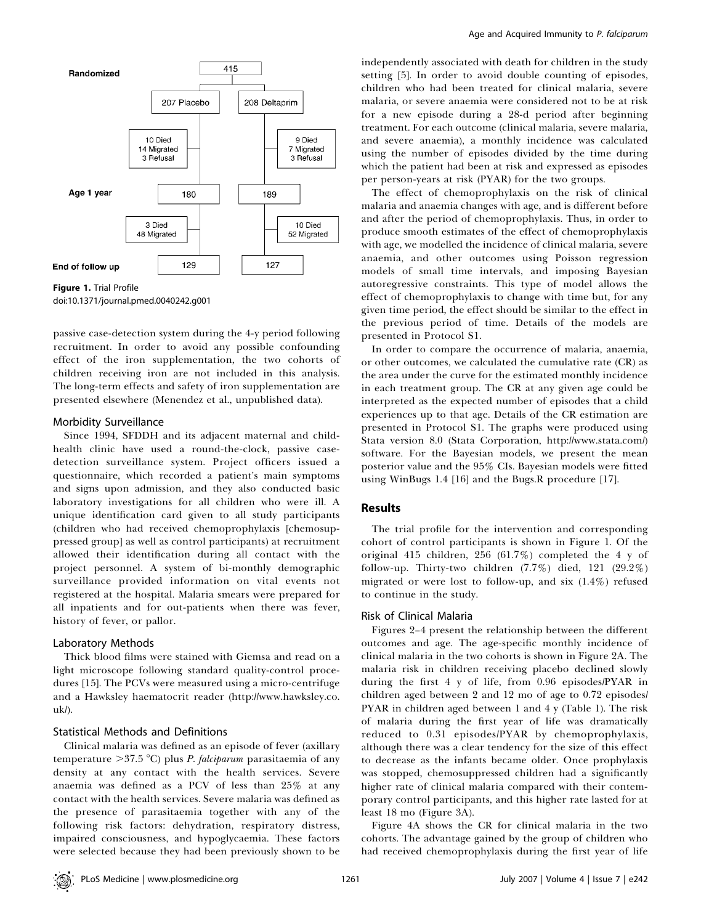

Figure 1. Trial Profile

doi:10.1371/journal.pmed.0040242.g001

passive case-detection system during the 4-y period following recruitment. In order to avoid any possible confounding effect of the iron supplementation, the two cohorts of children receiving iron are not included in this analysis. The long-term effects and safety of iron supplementation are presented elsewhere (Menendez et al., unpublished data).

## Morbidity Surveillance

Since 1994, SFDDH and its adjacent maternal and childhealth clinic have used a round-the-clock, passive casedetection surveillance system. Project officers issued a questionnaire, which recorded a patient's main symptoms and signs upon admission, and they also conducted basic laboratory investigations for all children who were ill. A unique identification card given to all study participants (children who had received chemoprophylaxis [chemosuppressed group] as well as control participants) at recruitment allowed their identification during all contact with the project personnel. A system of bi-monthly demographic surveillance provided information on vital events not registered at the hospital. Malaria smears were prepared for all inpatients and for out-patients when there was fever, history of fever, or pallor.

### Laboratory Methods

Thick blood films were stained with Giemsa and read on a light microscope following standard quality-control procedures [15]. The PCVs were measured using a micro-centrifuge and a Hawksley haematocrit reader (http://www.hawksley.co. uk/).

#### Statistical Methods and Definitions

Clinical malaria was defined as an episode of fever (axillary temperature  $>37.5$  °C) plus *P. falciparum* parasitaemia of any density at any contact with the health services. Severe anaemia was defined as a PCV of less than 25% at any contact with the health services. Severe malaria was defined as the presence of parasitaemia together with any of the following risk factors: dehydration, respiratory distress, impaired consciousness, and hypoglycaemia. These factors were selected because they had been previously shown to be

independently associated with death for children in the study setting [5]. In order to avoid double counting of episodes, children who had been treated for clinical malaria, severe malaria, or severe anaemia were considered not to be at risk for a new episode during a 28-d period after beginning treatment. For each outcome (clinical malaria, severe malaria, and severe anaemia), a monthly incidence was calculated using the number of episodes divided by the time during which the patient had been at risk and expressed as episodes per person-years at risk (PYAR) for the two groups.

The effect of chemoprophylaxis on the risk of clinical malaria and anaemia changes with age, and is different before and after the period of chemoprophylaxis. Thus, in order to produce smooth estimates of the effect of chemoprophylaxis with age, we modelled the incidence of clinical malaria, severe anaemia, and other outcomes using Poisson regression models of small time intervals, and imposing Bayesian autoregressive constraints. This type of model allows the effect of chemoprophylaxis to change with time but, for any given time period, the effect should be similar to the effect in the previous period of time. Details of the models are presented in Protocol S1.

In order to compare the occurrence of malaria, anaemia, or other outcomes, we calculated the cumulative rate (CR) as the area under the curve for the estimated monthly incidence in each treatment group. The CR at any given age could be interpreted as the expected number of episodes that a child experiences up to that age. Details of the CR estimation are presented in Protocol S1. The graphs were produced using Stata version 8.0 (Stata Corporation, http://www.stata.com/) software. For the Bayesian models, we present the mean posterior value and the 95% CIs. Bayesian models were fitted using WinBugs 1.4 [16] and the Bugs.R procedure [17].

## Results

The trial profile for the intervention and corresponding cohort of control participants is shown in Figure 1. Of the original 415 children, 256 (61.7%) completed the 4 y of follow-up. Thirty-two children (7.7%) died, 121 (29.2%) migrated or were lost to follow-up, and six (1.4%) refused to continue in the study.

# Risk of Clinical Malaria

Figures 2–4 present the relationship between the different outcomes and age. The age-specific monthly incidence of clinical malaria in the two cohorts is shown in Figure 2A. The malaria risk in children receiving placebo declined slowly during the first 4 y of life, from 0.96 episodes/PYAR in children aged between 2 and 12 mo of age to 0.72 episodes/ PYAR in children aged between 1 and 4 y (Table 1). The risk of malaria during the first year of life was dramatically reduced to 0.31 episodes/PYAR by chemoprophylaxis, although there was a clear tendency for the size of this effect to decrease as the infants became older. Once prophylaxis was stopped, chemosuppressed children had a significantly higher rate of clinical malaria compared with their contemporary control participants, and this higher rate lasted for at least 18 mo (Figure 3A).

Figure 4A shows the CR for clinical malaria in the two cohorts. The advantage gained by the group of children who had received chemoprophylaxis during the first year of life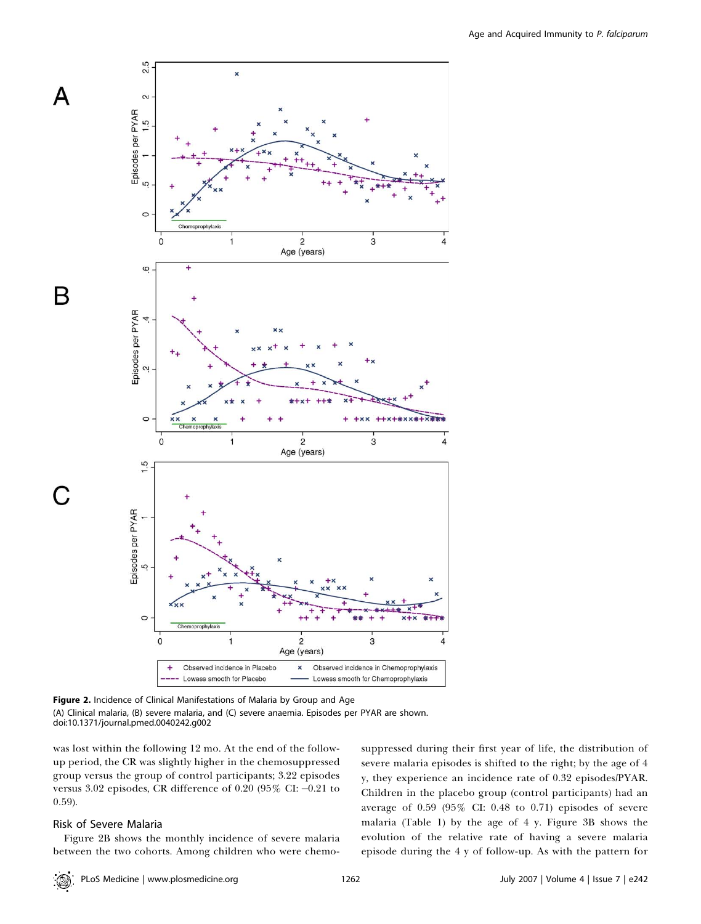

Figure 2. Incidence of Clinical Manifestations of Malaria by Group and Age (A) Clinical malaria, (B) severe malaria, and (C) severe anaemia. Episodes per PYAR are shown. doi:10.1371/journal.pmed.0040242.g002

was lost within the following 12 mo. At the end of the followup period, the CR was slightly higher in the chemosuppressed group versus the group of control participants; 3.22 episodes versus 3.02 episodes, CR difference of 0.20 (95% CI: -0.21 to 0.59).

# Risk of Severe Malaria

А

B

C

Figure 2B shows the monthly incidence of severe malaria between the two cohorts. Among children who were chemo-

suppressed during their first year of life, the distribution of severe malaria episodes is shifted to the right; by the age of 4 y, they experience an incidence rate of 0.32 episodes/PYAR. Children in the placebo group (control participants) had an average of 0.59 (95% CI: 0.48 to 0.71) episodes of severe malaria (Table 1) by the age of 4 y. Figure 3B shows the evolution of the relative rate of having a severe malaria episode during the 4 y of follow-up. As with the pattern for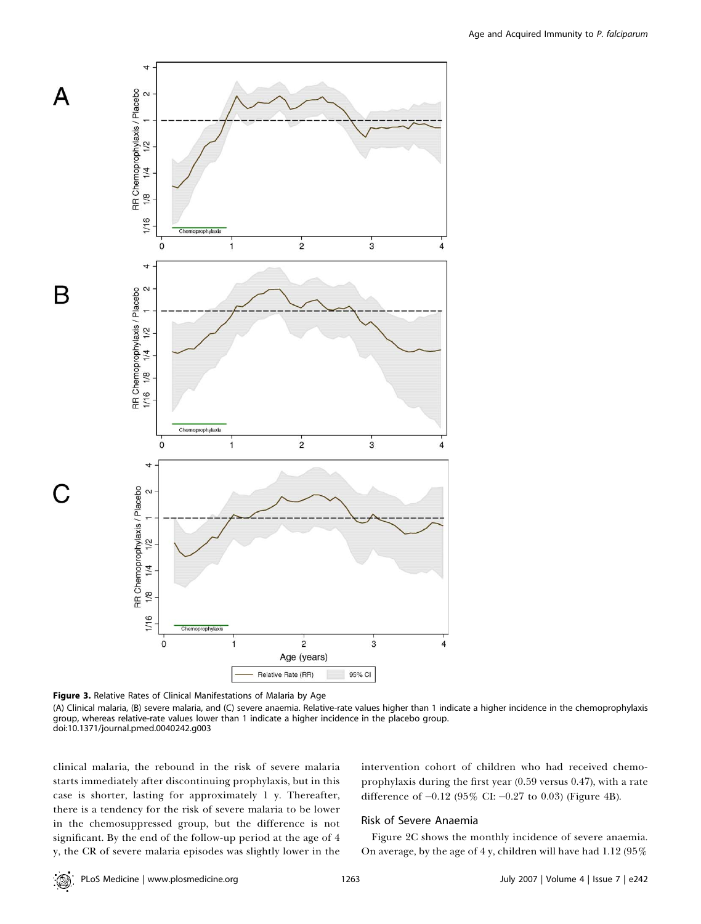

Figure 3. Relative Rates of Clinical Manifestations of Malaria by Age

(A) Clinical malaria, (B) severe malaria, and (C) severe anaemia. Relative-rate values higher than 1 indicate a higher incidence in the chemoprophylaxis group, whereas relative-rate values lower than 1 indicate a higher incidence in the placebo group. doi:10.1371/journal.pmed.0040242.g003

clinical malaria, the rebound in the risk of severe malaria starts immediately after discontinuing prophylaxis, but in this case is shorter, lasting for approximately 1 y. Thereafter, there is a tendency for the risk of severe malaria to be lower in the chemosuppressed group, but the difference is not significant. By the end of the follow-up period at the age of 4 y, the CR of severe malaria episodes was slightly lower in the intervention cohort of children who had received chemoprophylaxis during the first year (0.59 versus 0.47), with a rate difference of -0.12 (95% CI: -0.27 to 0.03) (Figure 4B).

# Risk of Severe Anaemia

Figure 2C shows the monthly incidence of severe anaemia. On average, by the age of 4 y, children will have had 1.12 (95%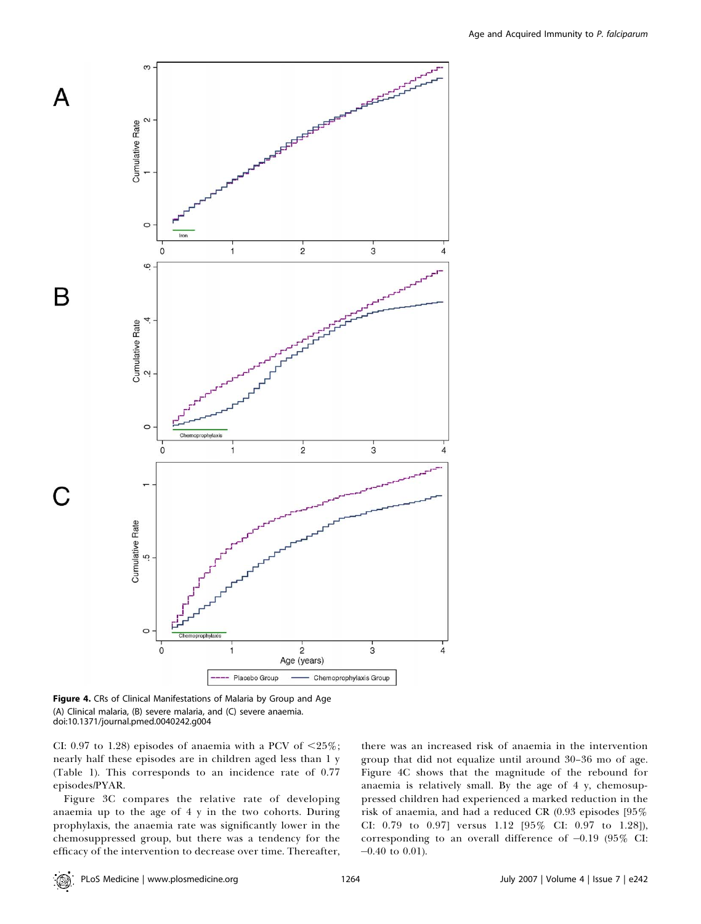

Figure 4. CRs of Clinical Manifestations of Malaria by Group and Age (A) Clinical malaria, (B) severe malaria, and (C) severe anaemia. doi:10.1371/journal.pmed.0040242.g004

CI: 0.97 to 1.28) episodes of anaemia with a PCV of  $\leq 25\%$ ; nearly half these episodes are in children aged less than 1 y (Table 1). This corresponds to an incidence rate of 0.77 episodes/PYAR.

Figure 3C compares the relative rate of developing anaemia up to the age of 4 y in the two cohorts. During prophylaxis, the anaemia rate was significantly lower in the chemosuppressed group, but there was a tendency for the efficacy of the intervention to decrease over time. Thereafter,

there was an increased risk of anaemia in the intervention group that did not equalize until around 30–36 mo of age. Figure 4C shows that the magnitude of the rebound for anaemia is relatively small. By the age of 4 y, chemosuppressed children had experienced a marked reduction in the risk of anaemia, and had a reduced CR (0.93 episodes [95% CI: 0.79 to 0.97] versus 1.12 [95% CI: 0.97 to 1.28]), corresponding to an overall difference of  $-0.19$  (95% CI:  $-0.40$  to 0.01).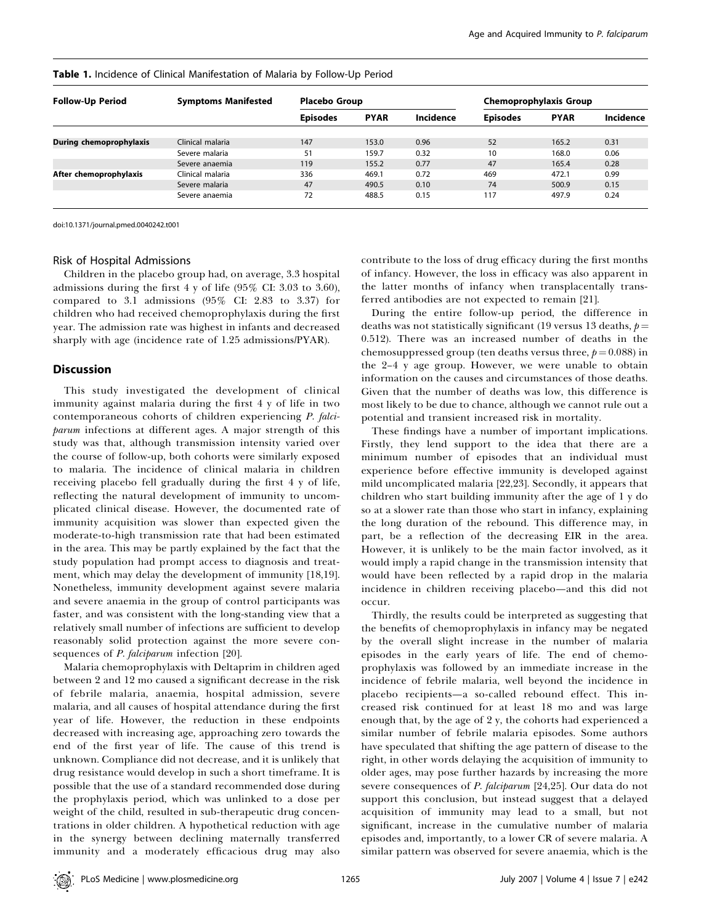| <b>Follow-Up Period</b> | <b>Symptoms Manifested</b> | <b>Placebo Group</b> |             |                  | Chemoprophylaxis Group |             |           |
|-------------------------|----------------------------|----------------------|-------------|------------------|------------------------|-------------|-----------|
|                         |                            | <b>Episodes</b>      | <b>PYAR</b> | <b>Incidence</b> | <b>Episodes</b>        | <b>PYAR</b> | Incidence |
|                         |                            |                      |             |                  |                        |             |           |
| During chemoprophylaxis | Clinical malaria           | 147                  | 153.0       | 0.96             | 52                     | 165.2       | 0.31      |
|                         | Severe malaria             | 51                   | 159.7       | 0.32             | 10                     | 168.0       | 0.06      |
|                         | Severe anaemia             | 119                  | 155.2       | 0.77             | 47                     | 165.4       | 0.28      |
| After chemoprophylaxis  | Clinical malaria           | 336                  | 469.1       | 0.72             | 469                    | 472.1       | 0.99      |
|                         | Severe malaria             | 47                   | 490.5       | 0.10             | 74                     | 500.9       | 0.15      |
|                         | Severe anaemia             | 72                   | 488.5       | 0.15             | 117                    | 497.9       | 0.24      |

#### Table 1. Incidence of Clinical Manifestation of Malaria by Follow-Up Period

doi:10.1371/journal.pmed.0040242.t001

#### Risk of Hospital Admissions

Children in the placebo group had, on average, 3.3 hospital admissions during the first 4 y of life (95% CI: 3.03 to 3.60), compared to 3.1 admissions (95% CI: 2.83 to 3.37) for children who had received chemoprophylaxis during the first year. The admission rate was highest in infants and decreased sharply with age (incidence rate of 1.25 admissions/PYAR).

# **Discussion**

This study investigated the development of clinical immunity against malaria during the first 4 y of life in two contemporaneous cohorts of children experiencing P. falciparum infections at different ages. A major strength of this study was that, although transmission intensity varied over the course of follow-up, both cohorts were similarly exposed to malaria. The incidence of clinical malaria in children receiving placebo fell gradually during the first 4 y of life, reflecting the natural development of immunity to uncomplicated clinical disease. However, the documented rate of immunity acquisition was slower than expected given the moderate-to-high transmission rate that had been estimated in the area. This may be partly explained by the fact that the study population had prompt access to diagnosis and treatment, which may delay the development of immunity [18,19]. Nonetheless, immunity development against severe malaria and severe anaemia in the group of control participants was faster, and was consistent with the long-standing view that a relatively small number of infections are sufficient to develop reasonably solid protection against the more severe consequences of *P. falciparum* infection [20].

Malaria chemoprophylaxis with Deltaprim in children aged between 2 and 12 mo caused a significant decrease in the risk of febrile malaria, anaemia, hospital admission, severe malaria, and all causes of hospital attendance during the first year of life. However, the reduction in these endpoints decreased with increasing age, approaching zero towards the end of the first year of life. The cause of this trend is unknown. Compliance did not decrease, and it is unlikely that drug resistance would develop in such a short timeframe. It is possible that the use of a standard recommended dose during the prophylaxis period, which was unlinked to a dose per weight of the child, resulted in sub-therapeutic drug concentrations in older children. A hypothetical reduction with age in the synergy between declining maternally transferred immunity and a moderately efficacious drug may also

contribute to the loss of drug efficacy during the first months of infancy. However, the loss in efficacy was also apparent in the latter months of infancy when transplacentally transferred antibodies are not expected to remain [21].

During the entire follow-up period, the difference in deaths was not statistically significant (19 versus 13 deaths,  $p=$ 0.512). There was an increased number of deaths in the chemosuppressed group (ten deaths versus three,  $p = 0.088$ ) in the 2–4 y age group. However, we were unable to obtain information on the causes and circumstances of those deaths. Given that the number of deaths was low, this difference is most likely to be due to chance, although we cannot rule out a potential and transient increased risk in mortality.

These findings have a number of important implications. Firstly, they lend support to the idea that there are a minimum number of episodes that an individual must experience before effective immunity is developed against mild uncomplicated malaria [22,23]. Secondly, it appears that children who start building immunity after the age of 1 y do so at a slower rate than those who start in infancy, explaining the long duration of the rebound. This difference may, in part, be a reflection of the decreasing EIR in the area. However, it is unlikely to be the main factor involved, as it would imply a rapid change in the transmission intensity that would have been reflected by a rapid drop in the malaria incidence in children receiving placebo—and this did not occur.

Thirdly, the results could be interpreted as suggesting that the benefits of chemoprophylaxis in infancy may be negated by the overall slight increase in the number of malaria episodes in the early years of life. The end of chemoprophylaxis was followed by an immediate increase in the incidence of febrile malaria, well beyond the incidence in placebo recipients—a so-called rebound effect. This increased risk continued for at least 18 mo and was large enough that, by the age of 2 y, the cohorts had experienced a similar number of febrile malaria episodes. Some authors have speculated that shifting the age pattern of disease to the right, in other words delaying the acquisition of immunity to older ages, may pose further hazards by increasing the more severe consequences of P. falciparum [24,25]. Our data do not support this conclusion, but instead suggest that a delayed acquisition of immunity may lead to a small, but not significant, increase in the cumulative number of malaria episodes and, importantly, to a lower CR of severe malaria. A similar pattern was observed for severe anaemia, which is the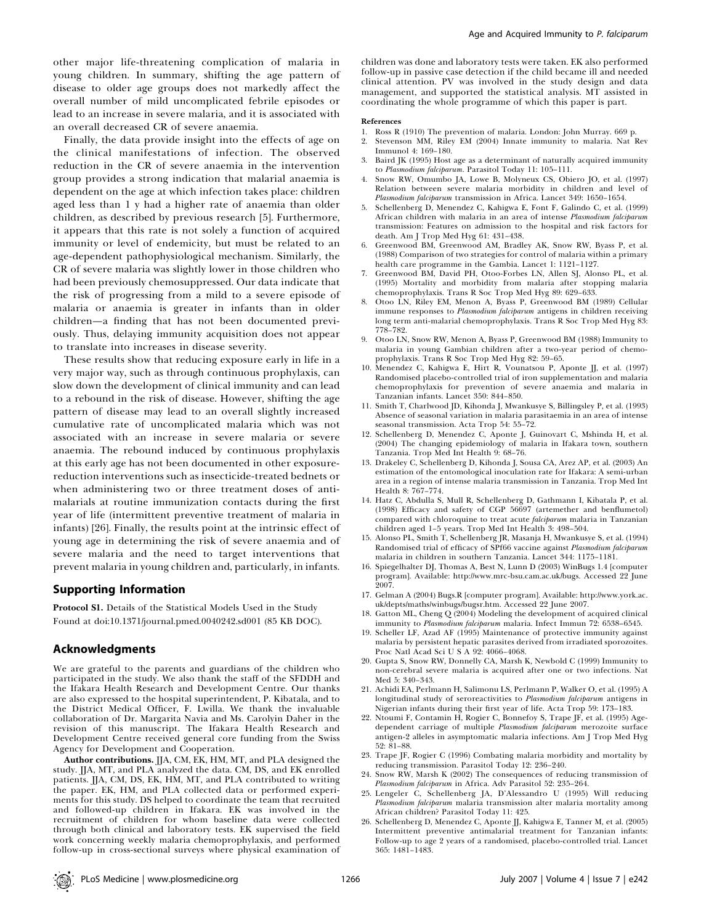other major life-threatening complication of malaria in young children. In summary, shifting the age pattern of disease to older age groups does not markedly affect the overall number of mild uncomplicated febrile episodes or lead to an increase in severe malaria, and it is associated with an overall decreased CR of severe anaemia.

Finally, the data provide insight into the effects of age on the clinical manifestations of infection. The observed reduction in the CR of severe anaemia in the intervention group provides a strong indication that malarial anaemia is dependent on the age at which infection takes place: children aged less than 1 y had a higher rate of anaemia than older children, as described by previous research [5]. Furthermore, it appears that this rate is not solely a function of acquired immunity or level of endemicity, but must be related to an age-dependent pathophysiological mechanism. Similarly, the CR of severe malaria was slightly lower in those children who had been previously chemosuppressed. Our data indicate that the risk of progressing from a mild to a severe episode of malaria or anaemia is greater in infants than in older children—a finding that has not been documented previously. Thus, delaying immunity acquisition does not appear to translate into increases in disease severity.

These results show that reducing exposure early in life in a very major way, such as through continuous prophylaxis, can slow down the development of clinical immunity and can lead to a rebound in the risk of disease. However, shifting the age pattern of disease may lead to an overall slightly increased cumulative rate of uncomplicated malaria which was not associated with an increase in severe malaria or severe anaemia. The rebound induced by continuous prophylaxis at this early age has not been documented in other exposurereduction interventions such as insecticide-treated bednets or when administering two or three treatment doses of antimalarials at routine immunization contacts during the first year of life (intermittent preventive treatment of malaria in infants) [26]. Finally, the results point at the intrinsic effect of young age in determining the risk of severe anaemia and of severe malaria and the need to target interventions that prevent malaria in young children and, particularly, in infants.

#### Supporting Information

Protocol S1. Details of the Statistical Models Used in the Study Found at doi:10.1371/journal.pmed.0040242.sd001 (85 KB DOC).

#### Acknowledgments

We are grateful to the parents and guardians of the children who participated in the study. We also thank the staff of the SFDDH and the Ifakara Health Research and Development Centre. Our thanks are also expressed to the hospital superintendent, P. Kibatala, and to the District Medical Officer, F. Lwilla. We thank the invaluable collaboration of Dr. Margarita Navia and Ms. Carolyin Daher in the revision of this manuscript. The Ifakara Health Research and Development Centre received general core funding from the Swiss Agency for Development and Cooperation.

Author contributions. JJA, CM, EK, HM, MT, and PLA designed the study. JJA, MT, and PLA analyzed the data. CM, DS, and EK enrolled patients. JJA, CM, DS, EK, HM, MT, and PLA contributed to writing the paper. EK, HM, and PLA collected data or performed experiments for this study. DS helped to coordinate the team that recruited and followed-up children in Ifakara. EK was involved in the recruitment of children for whom baseline data were collected through both clinical and laboratory tests. EK supervised the field work concerning weekly malaria chemoprophylaxis, and performed follow-up in cross-sectional surveys where physical examination of

children was done and laboratory tests were taken. EK also performed follow-up in passive case detection if the child became ill and needed clinical attention. PV was involved in the study design and data management, and supported the statistical analysis. MT assisted in coordinating the whole programme of which this paper is part.

#### References

- 1. Ross R (1910) The prevention of malaria. London: John Murray. 669 p.<br>2. Stevenson MM, Riley EM (2004) Innate immunity to malaria. Nat I
- Stevenson MM, Riley EM (2004) Innate immunity to malaria. Nat Rev Immunol 4: 169–180.
- 3. Baird JK (1995) Host age as a determinant of naturally acquired immunity to Plasmodium falciparum. Parasitol Today 11: 105–111.
- 4. Snow RW, Omumbo JA, Lowe B, Molyneux CS, Obiero JO, et al. (1997) Relation between severe malaria morbidity in children and level of Plasmodium falciparum transmission in Africa. Lancet 349: 1650–1654.
- 5. Schellenberg D, Menendez C, Kahigwa E, Font F, Galindo C, et al. (1999) African children with malaria in an area of intense Plasmodium falciparum transmission: Features on admission to the hospital and risk factors for death. Am J Trop Med Hyg 61: 431–438.
- 6. Greenwood BM, Greenwood AM, Bradley AK, Snow RW, Byass P, et al. (1988) Comparison of two strategies for control of malaria within a primary health care programme in the Gambia. Lancet 1: 1121–1127.
- 7. Greenwood BM, David PH, Otoo-Forbes LN, Allen SJ, Alonso PL, et al. (1995) Mortality and morbidity from malaria after stopping malaria chemoprophylaxis. Trans R Soc Trop Med Hyg 89: 629–633.
- 8. Otoo LN, Riley EM, Menon A, Byass P, Greenwood BM (1989) Cellular immune responses to *Plasmodium falcibarum* antigens in children receiving long term anti-malarial chemoprophylaxis. Trans R Soc Trop Med Hyg 83: 778–782.
- 9. Otoo LN, Snow RW, Menon A, Byass P, Greenwood BM (1988) Immunity to malaria in young Gambian children after a two-year period of chemoprophylaxis. Trans R Soc Trop Med Hyg 82: 59–65.
- 10. Menendez C, Kahigwa E, Hirt R, Vounatsou P, Aponte JJ, et al. (1997) Randomised placebo-controlled trial of iron supplementation and malaria chemoprophylaxis for prevention of severe anaemia and malaria in Tanzanian infants. Lancet 350: 844–850.
- 11. Smith T, Charlwood JD, Kihonda J, Mwankusye S, Billingsley P, et al. (1993) Absence of seasonal variation in malaria parasitaemia in an area of intense seasonal transmission. Acta Trop 54: 55–72.
- 12. Schellenberg D, Menendez C, Aponte J, Guinovart C, Mshinda H, et al. (2004) The changing epidemiology of malaria in Ifakara town, southern Tanzania. Trop Med Int Health 9: 68–76.
- 13. Drakeley C, Schellenberg D, Kihonda J, Sousa CA, Arez AP, et al. (2003) An estimation of the entomological inoculation rate for Ifakara: A semi-urban area in a region of intense malaria transmission in Tanzania. Trop Med Int Health 8: 767–774.
- 14. Hatz C, Abdulla S, Mull R, Schellenberg D, Gathmann I, Kibatala P, et al. (1998) Efficacy and safety of CGP 56697 (artemether and benflumetol) compared with chloroquine to treat acute falciparum malaria in Tanzanian children aged 1–5 years. Trop Med Int Health 3: 498–504.
- 15. Alonso PL, Smith T, Schellenberg JR, Masanja H, Mwankusye S, et al. (1994) Randomised trial of efficacy of SPf66 vaccine against Plasmodium falciparum malaria in children in southern Tanzania. Lancet 344: 1175–1181.
- 16. Spiegelhalter DJ, Thomas A, Best N, Lunn D (2003) WinBugs 1.4 [computer program]. Available: http://www.mrc-bsu.cam.ac.uk/bugs. Accessed 22 June  $200\bar{7}$ .
- 17. Gelman A (2004) Bugs.R [computer program]. Available: http://www.york.ac. uk/depts/maths/winbugs/bugsr.htm. Accessed 22 June 2007.
- 18. Gatton ML, Cheng Q (2004) Modeling the development of acquired clinical immunity to Plasmodium falciparum malaria. Infect Immun 72: 6538–6545.
- 19. Scheller LF, Azad AF (1995) Maintenance of protective immunity against malaria by persistent hepatic parasites derived from irradiated sporozoites. Proc Natl Acad Sci U S A 92: 4066–4068.
- 20. Gupta S, Snow RW, Donnelly CA, Marsh K, Newbold C (1999) Immunity to non-cerebral severe malaria is acquired after one or two infections. Nat Med 5: 340–343.
- 21. Achidi EA, Perlmann H, Salimonu LS, Perlmann P, Walker O, et al. (1995) A longitudinal study of seroreactivities to Plasmodium falciparum antigens in Nigerian infants during their first year of life. Acta Trop 59: 173–183.
- 22. Ntoumi F, Contamin H, Rogier C, Bonnefoy S, Trape JF, et al. (1995) Agedependent carriage of multiple Plasmodium falciparum merozoite surface antigen-2 alleles in asymptomatic malaria infections. Am J Trop Med Hyg 52: 81–88.
- 23. Trape JF, Rogier C (1996) Combating malaria morbidity and mortality by reducing transmission. Parasitol Today 12: 236–240.
- 24. Snow RW, Marsh K (2002) The consequences of reducing transmission of Plasmodium falciparum in Africa. Adv Parasitol 52: 235–264.
- 25. Lengeler C, Schellenberg JA, D'Alessandro U (1995) Will reducing Plasmodium falciparum malaria transmission alter malaria mortality among African children? Parasitol Today 11: 425.
- 26. Schellenberg D, Menendez C, Aponte JJ, Kahigwa E, Tanner M, et al. (2005) Intermittent preventive antimalarial treatment for Tanzanian infants: Follow-up to age 2 years of a randomised, placebo-controlled trial. Lancet 365: 1481–1483.